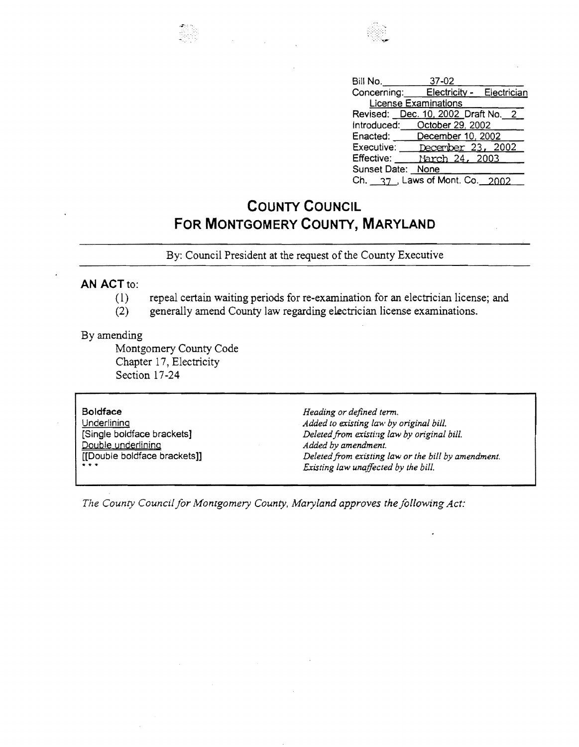



| Bill No.             | 37-02                                 |  |  |
|----------------------|---------------------------------------|--|--|
|                      | Concerning: Electricity - Electrician |  |  |
| License Examinations |                                       |  |  |
|                      | Revised: Dec. 10, 2002 Draft No. 2    |  |  |
|                      | Introduced: October 29, 2002          |  |  |
|                      | Enacted: December 10, 2002            |  |  |
|                      | Executive: December 23, 2002          |  |  |
|                      | Effective: March 24, 2003             |  |  |
| Sunset Date: None    |                                       |  |  |
|                      | Ch. 37 Laws of Mont. Co. 2002         |  |  |

## **COUNTY COUNCIL FOR MONTGOMERY COUNTY, MARYLAND**

By: Council President at the request of the County Executive

## **AN** ACT to:

- (1) repeal certain waiting periods for re-examination for an electrician license; and
- (2) generally amend County law regarding electrician license examinations.

## By amending

Montgomery County Code Chapter 17, Electricity Section 17-24

## **Boldface**

**Underlining** [Single boldface brackets] Double underlining [[Double boldface brackets]]  $\ddot{x}$   $\ddot{x}$   $\ddot{y}$ 

*Heading or defined term.*  Added to existing law by original bill. Deleted from existing law by original bill. *Added by amendment. Deletedfrom existing law or the bill by amendment. Existing law unaffected by the bill.* 

The County Council for Montgomery County, Maryland approves the following Act: